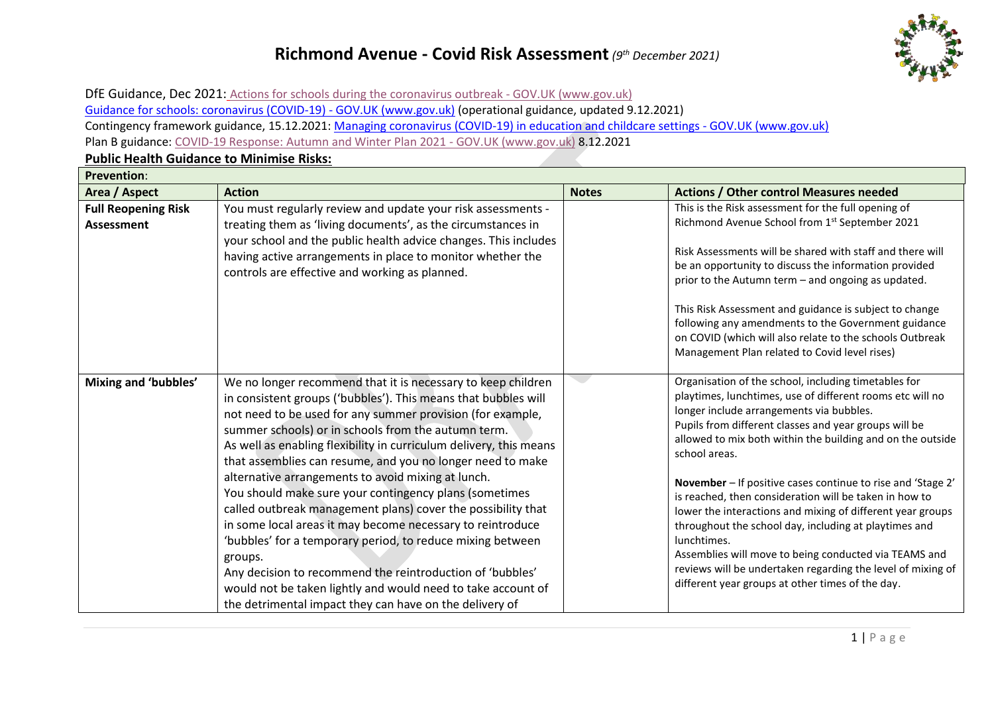

DfE Guidance, Dec 2021: [Actions for schools during the coronavirus outbreak -](https://www.gov.uk/government/publications/actions-for-schools-during-the-coronavirus-outbreak) GOV.UK (www.gov.uk) [Guidance for schools: coronavirus \(COVID-19\) -](https://www.gov.uk/government/collections/guidance-for-schools-coronavirus-covid-19) GOV.UK (www.gov.uk) (operational guidance, updated 9.12.2021) Contingency framework guidance, 15.12.2021: [Managing coronavirus \(COVID-19\) in education and childcare settings -](https://www.gov.uk/government/publications/coronavirus-covid-19-local-restrictions-in-education-and-childcare-settings) GOV.UK (www.gov.uk) Plan B guidance: [COVID-19 Response: Autumn and Winter Plan 2021 -](https://www.gov.uk/government/publications/covid-19-response-autumn-and-winter-plan-2021?utm_source=7%20December%202021%20C19&utm_medium=Daily%20Email%20C19&utm_campaign=DfE%20C19) GOV.UK (www.gov.uk) 8.12.2021

#### **Prevention**: **Area / Aspect Action Notes Actions / Other control Measures needed Full Reopening Risk Assessment**  You must regularly review and update your risk assessments treating them as 'living documents', as the circumstances in your school and the public health advice changes. This includes having active arrangements in place to monitor whether the controls are effective and working as planned. This is the Risk assessment for the full opening of Richmond Avenue School from 1st September 2021 Risk Assessments will be shared with staff and there will be an opportunity to discuss the information provided prior to the Autumn term – and ongoing as updated. This Risk Assessment and guidance is subject to change following any amendments to the Government guidance on COVID (which will also relate to the schools Outbreak Management Plan related to Covid level rises) **Mixing and 'bubbles'** We no longer recommend that it is necessary to keep children in consistent groups ('bubbles'). This means that bubbles will not need to be used for any summer provision (for example, summer schools) or in schools from the autumn term. As well as enabling flexibility in curriculum delivery, this means that assemblies can resume, and you no longer need to make alternative arrangements to avoid mixing at lunch. You should make sure your contingency plans (sometimes called outbreak management plans) cover the possibility that in some local areas it may become necessary to reintroduce 'bubbles' for a temporary period, to reduce mixing between groups. Any decision to recommend the reintroduction of 'bubbles' would not be taken lightly and would need to take account of the detrimental impact they can have on the delivery of Organisation of the school, including timetables for playtimes, lunchtimes, use of different rooms etc will no longer include arrangements via bubbles. Pupils from different classes and year groups will be allowed to mix both within the building and on the outside school areas. **November** – If positive cases continue to rise and 'Stage 2' is reached, then consideration will be taken in how to lower the interactions and mixing of different year groups throughout the school day, including at playtimes and lunchtimes. Assemblies will move to being conducted via TEAMS and reviews will be undertaken regarding the level of mixing of different year groups at other times of the day.

#### **Public Health Guidance to Minimise Risks:**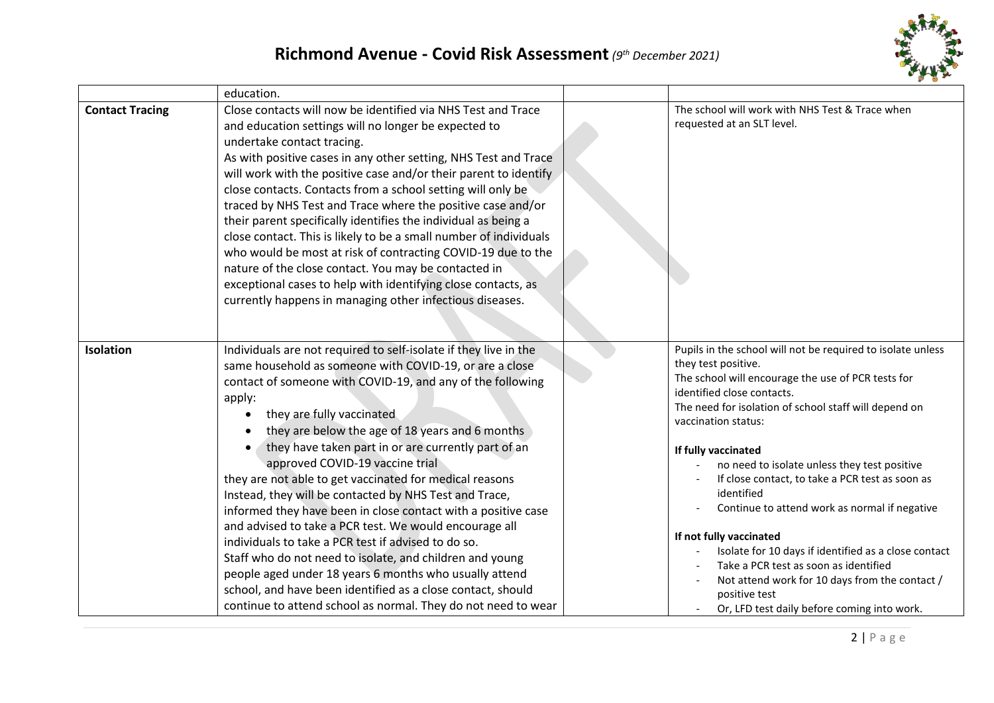

|                        | education.                                                                                                                                                                                                                                                                                                                                                                                                                                                                                                                                                                                                                                                                                                                                                                                                                                                                                                                                 |                                                                                                                                                                                                                                                                                                                                                                                                                                                                                                                                                                                                                                                                                               |
|------------------------|--------------------------------------------------------------------------------------------------------------------------------------------------------------------------------------------------------------------------------------------------------------------------------------------------------------------------------------------------------------------------------------------------------------------------------------------------------------------------------------------------------------------------------------------------------------------------------------------------------------------------------------------------------------------------------------------------------------------------------------------------------------------------------------------------------------------------------------------------------------------------------------------------------------------------------------------|-----------------------------------------------------------------------------------------------------------------------------------------------------------------------------------------------------------------------------------------------------------------------------------------------------------------------------------------------------------------------------------------------------------------------------------------------------------------------------------------------------------------------------------------------------------------------------------------------------------------------------------------------------------------------------------------------|
| <b>Contact Tracing</b> | Close contacts will now be identified via NHS Test and Trace<br>and education settings will no longer be expected to<br>undertake contact tracing.<br>As with positive cases in any other setting, NHS Test and Trace<br>will work with the positive case and/or their parent to identify<br>close contacts. Contacts from a school setting will only be<br>traced by NHS Test and Trace where the positive case and/or<br>their parent specifically identifies the individual as being a<br>close contact. This is likely to be a small number of individuals<br>who would be most at risk of contracting COVID-19 due to the<br>nature of the close contact. You may be contacted in<br>exceptional cases to help with identifying close contacts, as<br>currently happens in managing other infectious diseases.                                                                                                                        | The school will work with NHS Test & Trace when<br>requested at an SLT level.                                                                                                                                                                                                                                                                                                                                                                                                                                                                                                                                                                                                                 |
| Isolation              | Individuals are not required to self-isolate if they live in the<br>same household as someone with COVID-19, or are a close<br>contact of someone with COVID-19, and any of the following<br>apply:<br>they are fully vaccinated<br>they are below the age of 18 years and 6 months<br>they have taken part in or are currently part of an<br>approved COVID-19 vaccine trial<br>they are not able to get vaccinated for medical reasons<br>Instead, they will be contacted by NHS Test and Trace,<br>informed they have been in close contact with a positive case<br>and advised to take a PCR test. We would encourage all<br>individuals to take a PCR test if advised to do so.<br>Staff who do not need to isolate, and children and young<br>people aged under 18 years 6 months who usually attend<br>school, and have been identified as a close contact, should<br>continue to attend school as normal. They do not need to wear | Pupils in the school will not be required to isolate unless<br>they test positive.<br>The school will encourage the use of PCR tests for<br>identified close contacts.<br>The need for isolation of school staff will depend on<br>vaccination status:<br>If fully vaccinated<br>no need to isolate unless they test positive<br>If close contact, to take a PCR test as soon as<br>identified<br>Continue to attend work as normal if negative<br>If not fully vaccinated<br>Isolate for 10 days if identified as a close contact<br>Take a PCR test as soon as identified<br>Not attend work for 10 days from the contact /<br>positive test<br>Or, LFD test daily before coming into work. |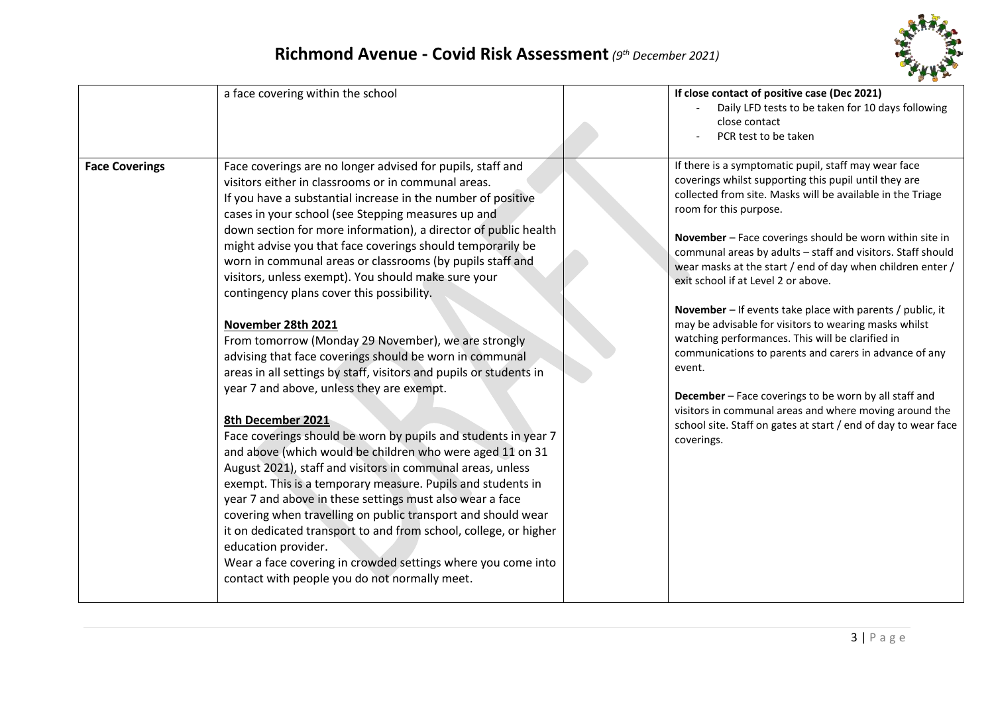

| Daily LFD tests to be taken for 10 days following<br>close contact<br>PCR test to be taken<br>If there is a symptomatic pupil, staff may wear face<br><b>Face Coverings</b><br>Face coverings are no longer advised for pupils, staff and<br>coverings whilst supporting this pupil until they are<br>visitors either in classrooms or in communal areas.<br>collected from site. Masks will be available in the Triage<br>If you have a substantial increase in the number of positive<br>room for this purpose.<br>cases in your school (see Stepping measures up and<br>down section for more information), a director of public health<br>November - Face coverings should be worn within site in<br>might advise you that face coverings should temporarily be<br>communal areas by adults - staff and visitors. Staff should<br>worn in communal areas or classrooms (by pupils staff and<br>wear masks at the start / end of day when children enter /<br>visitors, unless exempt). You should make sure your<br>exit school if at Level 2 or above.<br>contingency plans cover this possibility.<br>November - If events take place with parents / public, it<br>may be advisable for visitors to wearing masks whilst<br>November 28th 2021<br>watching performances. This will be clarified in<br>From tomorrow (Monday 29 November), we are strongly<br>communications to parents and carers in advance of any<br>advising that face coverings should be worn in communal<br>event.<br>areas in all settings by staff, visitors and pupils or students in<br>year 7 and above, unless they are exempt.<br>December - Face coverings to be worn by all staff and<br>visitors in communal areas and where moving around the<br>8th December 2021<br>school site. Staff on gates at start / end of day to wear face<br>Face coverings should be worn by pupils and students in year 7<br>coverings.<br>and above (which would be children who were aged 11 on 31<br>August 2021), staff and visitors in communal areas, unless<br>exempt. This is a temporary measure. Pupils and students in<br>year 7 and above in these settings must also wear a face<br>covering when travelling on public transport and should wear<br>it on dedicated transport to and from school, college, or higher<br>education provider.<br>Wear a face covering in crowded settings where you come into<br>contact with people you do not normally meet. |                                   | <b>COMPANY</b>                               |
|-----------------------------------------------------------------------------------------------------------------------------------------------------------------------------------------------------------------------------------------------------------------------------------------------------------------------------------------------------------------------------------------------------------------------------------------------------------------------------------------------------------------------------------------------------------------------------------------------------------------------------------------------------------------------------------------------------------------------------------------------------------------------------------------------------------------------------------------------------------------------------------------------------------------------------------------------------------------------------------------------------------------------------------------------------------------------------------------------------------------------------------------------------------------------------------------------------------------------------------------------------------------------------------------------------------------------------------------------------------------------------------------------------------------------------------------------------------------------------------------------------------------------------------------------------------------------------------------------------------------------------------------------------------------------------------------------------------------------------------------------------------------------------------------------------------------------------------------------------------------------------------------------------------------------------------------------------------------------------------------------------------------------------------------------------------------------------------------------------------------------------------------------------------------------------------------------------------------------------------------------------------------------------------------------------------------------------------------------------------------------------------------------------------------------------------------------|-----------------------------------|----------------------------------------------|
|                                                                                                                                                                                                                                                                                                                                                                                                                                                                                                                                                                                                                                                                                                                                                                                                                                                                                                                                                                                                                                                                                                                                                                                                                                                                                                                                                                                                                                                                                                                                                                                                                                                                                                                                                                                                                                                                                                                                                                                                                                                                                                                                                                                                                                                                                                                                                                                                                                               | a face covering within the school | If close contact of positive case (Dec 2021) |
|                                                                                                                                                                                                                                                                                                                                                                                                                                                                                                                                                                                                                                                                                                                                                                                                                                                                                                                                                                                                                                                                                                                                                                                                                                                                                                                                                                                                                                                                                                                                                                                                                                                                                                                                                                                                                                                                                                                                                                                                                                                                                                                                                                                                                                                                                                                                                                                                                                               |                                   |                                              |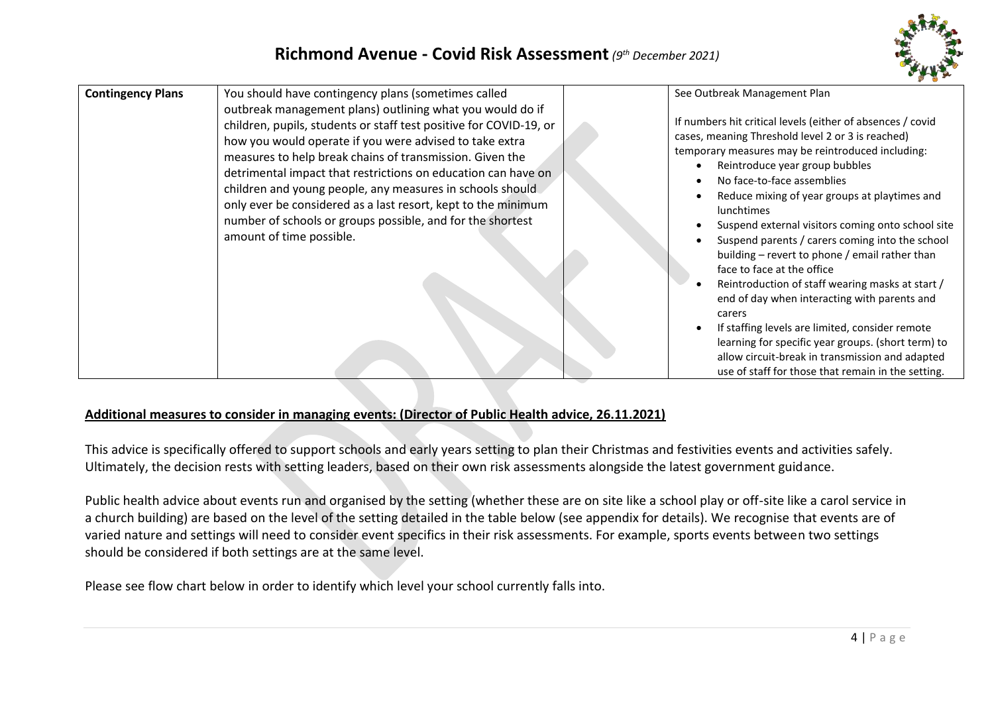

| See Outbreak Management Plan<br><b>Contingency Plans</b><br>You should have contingency plans (sometimes called<br>outbreak management plans) outlining what you would do if<br>If numbers hit critical levels (either of absences / covid<br>children, pupils, students or staff test positive for COVID-19, or<br>cases, meaning Threshold level 2 or 3 is reached)<br>how you would operate if you were advised to take extra<br>temporary measures may be reintroduced including:<br>measures to help break chains of transmission. Given the<br>Reintroduce year group bubbles<br>detrimental impact that restrictions on education can have on<br>No face-to-face assemblies<br>children and young people, any measures in schools should<br>Reduce mixing of year groups at playtimes and<br>only ever be considered as a last resort, kept to the minimum<br><b>lunchtimes</b><br>number of schools or groups possible, and for the shortest<br>Suspend external visitors coming onto school site |                          |                                                 |
|-----------------------------------------------------------------------------------------------------------------------------------------------------------------------------------------------------------------------------------------------------------------------------------------------------------------------------------------------------------------------------------------------------------------------------------------------------------------------------------------------------------------------------------------------------------------------------------------------------------------------------------------------------------------------------------------------------------------------------------------------------------------------------------------------------------------------------------------------------------------------------------------------------------------------------------------------------------------------------------------------------------|--------------------------|-------------------------------------------------|
| building – revert to phone / email rather than<br>face to face at the office<br>Reintroduction of staff wearing masks at start /<br>end of day when interacting with parents and<br>carers<br>If staffing levels are limited, consider remote<br>learning for specific year groups. (short term) to<br>allow circuit-break in transmission and adapted<br>use of staff for those that remain in the setting.                                                                                                                                                                                                                                                                                                                                                                                                                                                                                                                                                                                              | amount of time possible. | Suspend parents / carers coming into the school |

#### **Additional measures to consider in managing events: (Director of Public Health advice, 26.11.2021)**

This advice is specifically offered to support schools and early years setting to plan their Christmas and festivities events and activities safely. Ultimately, the decision rests with setting leaders, based on their own risk assessments alongside the latest government guidance.

Public health advice about events run and organised by the setting (whether these are on site like a school play or off-site like a carol service in a church building) are based on the level of the setting detailed in the table below (see appendix for details). We recognise that events are of varied nature and settings will need to consider event specifics in their risk assessments. For example, sports events between two settings should be considered if both settings are at the same level.

Please see flow chart below in order to identify which level your school currently falls into.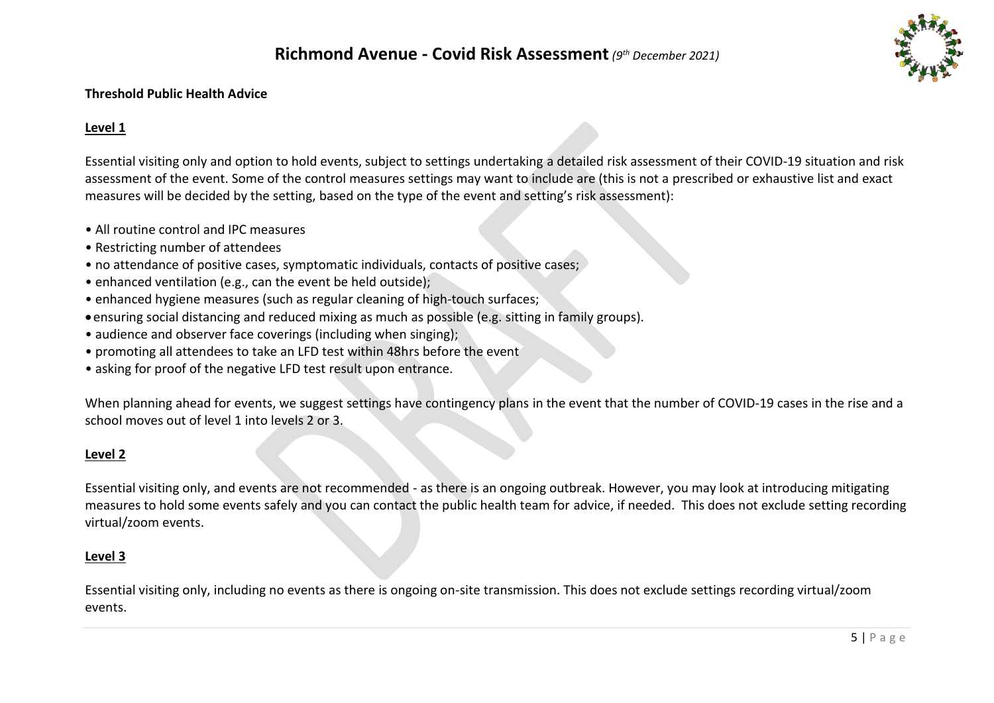

#### **Threshold Public Health Advice**

#### **Level 1**

Essential visiting only and option to hold events, subject to settings undertaking a detailed risk assessment of their COVID-19 situation and risk assessment of the event. Some of the control measures settings may want to include are (this is not a prescribed or exhaustive list and exact measures will be decided by the setting, based on the type of the event and setting's risk assessment):

- All routine control and IPC measures
- Restricting number of attendees
- no attendance of positive cases, symptomatic individuals, contacts of positive cases;
- enhanced ventilation (e.g., can the event be held outside);
- enhanced hygiene measures (such as regular cleaning of high-touch surfaces;
- ensuring social distancing and reduced mixing as much as possible (e.g. sitting in family groups).
- audience and observer face coverings (including when singing);
- promoting all attendees to take an LFD test within 48hrs before the event
- asking for proof of the negative LFD test result upon entrance.

When planning ahead for events, we suggest settings have contingency plans in the event that the number of COVID-19 cases in the rise and a school moves out of level 1 into levels 2 or 3.

#### **Level 2**

Essential visiting only, and events are not recommended - as there is an ongoing outbreak. However, you may look at introducing mitigating measures to hold some events safely and you can contact the public health team for advice, if needed. This does not exclude setting recording virtual/zoom events.

#### **Level 3**

Essential visiting only, including no events as there is ongoing on-site transmission. This does not exclude settings recording virtual/zoom events.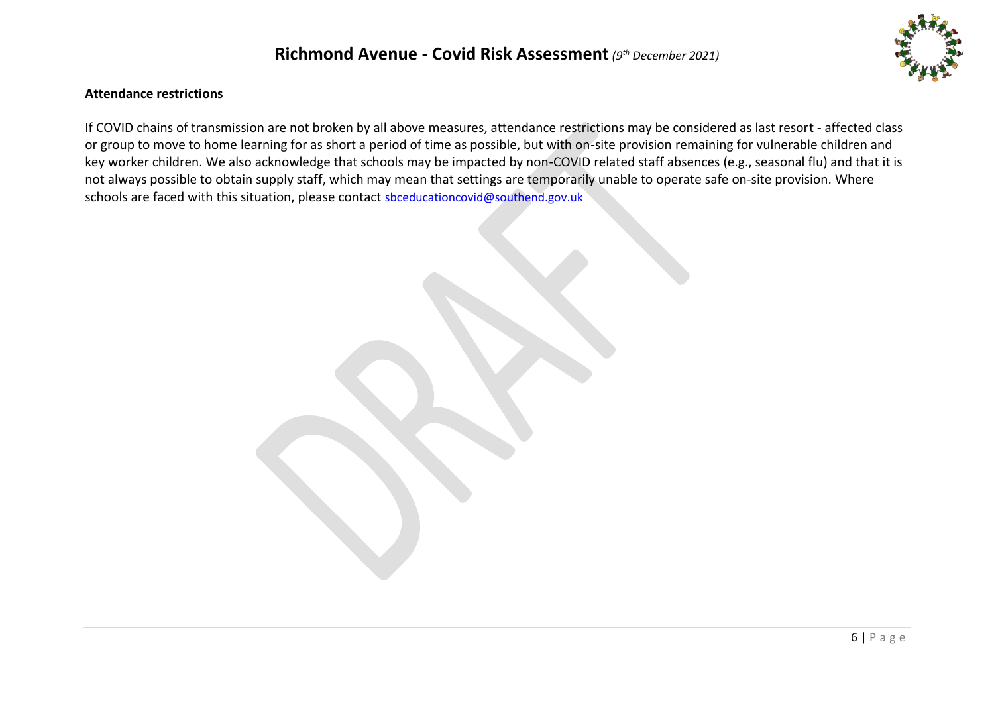

#### **Attendance restrictions**

If COVID chains of transmission are not broken by all above measures, attendance restrictions may be considered as last resort - affected class or group to move to home learning for as short a period of time as possible, but with on-site provision remaining for vulnerable children and key worker children. We also acknowledge that schools may be impacted by non-COVID related staff absences (e.g., seasonal flu) and that it is not always possible to obtain supply staff, which may mean that settings are temporarily unable to operate safe on-site provision. Where schools are faced with this situation, please contact [sbceducationcovid@southend.gov.uk](mailto:sbceducationcovid@southend.gov.uk)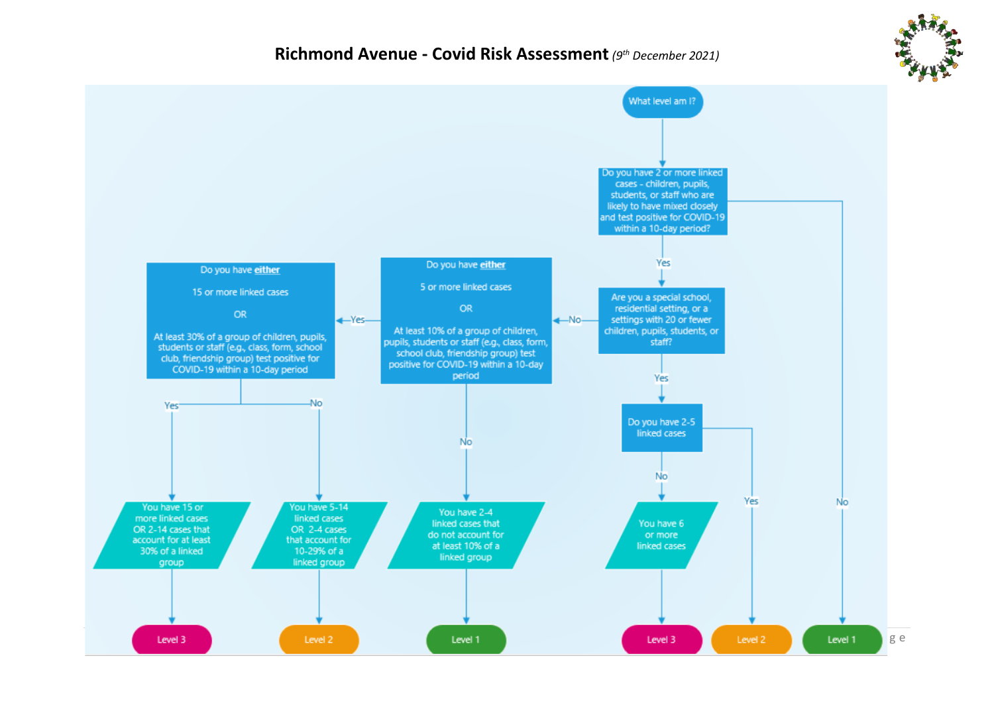

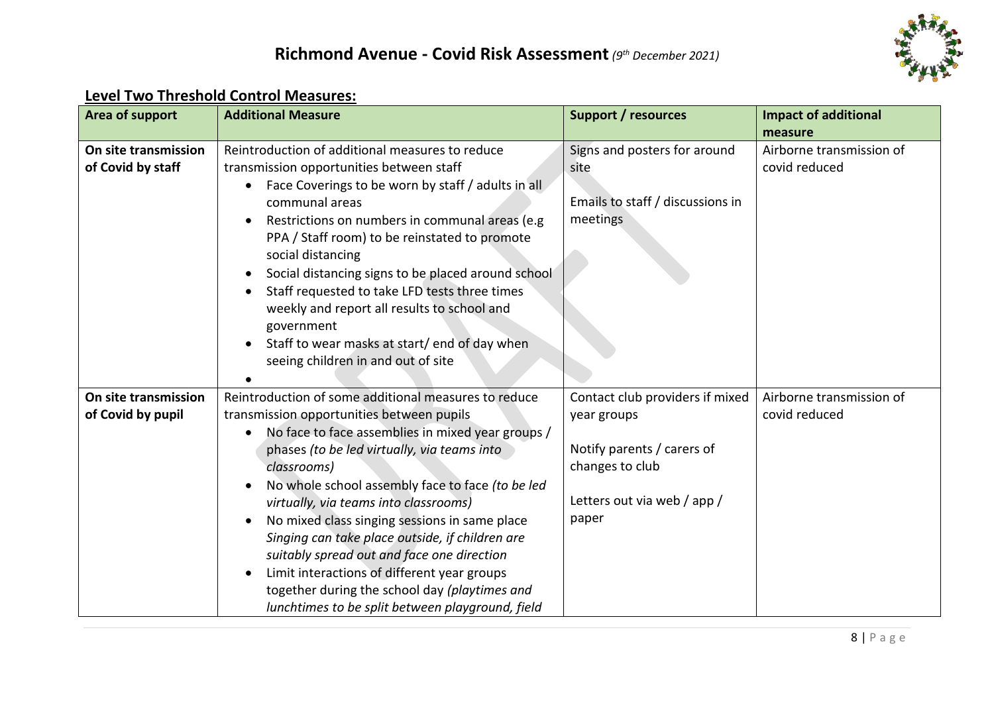

## **Level Two Threshold Control Measures:**

| Area of support                           | <b>Additional Measure</b>                                                                                                                                                                                                                                                                                                                                                                                                                                                                                                                                                                                                            | <b>Support / resources</b>                                                                                                              | <b>Impact of additional</b>                          |
|-------------------------------------------|--------------------------------------------------------------------------------------------------------------------------------------------------------------------------------------------------------------------------------------------------------------------------------------------------------------------------------------------------------------------------------------------------------------------------------------------------------------------------------------------------------------------------------------------------------------------------------------------------------------------------------------|-----------------------------------------------------------------------------------------------------------------------------------------|------------------------------------------------------|
| On site transmission<br>of Covid by staff | Reintroduction of additional measures to reduce<br>transmission opportunities between staff<br>Face Coverings to be worn by staff / adults in all<br>$\bullet$<br>communal areas<br>Restrictions on numbers in communal areas (e.g.<br>$\bullet$<br>PPA / Staff room) to be reinstated to promote<br>social distancing<br>Social distancing signs to be placed around school<br>Staff requested to take LFD tests three times<br>weekly and report all results to school and<br>government<br>Staff to wear masks at start/ end of day when<br>seeing children in and out of site                                                    | Signs and posters for around<br>site<br>Emails to staff / discussions in<br>meetings                                                    | measure<br>Airborne transmission of<br>covid reduced |
| On site transmission<br>of Covid by pupil | Reintroduction of some additional measures to reduce<br>transmission opportunities between pupils<br>No face to face assemblies in mixed year groups /<br>$\bullet$<br>phases (to be led virtually, via teams into<br>classrooms)<br>No whole school assembly face to face (to be led<br>virtually, via teams into classrooms)<br>No mixed class singing sessions in same place<br>Singing can take place outside, if children are<br>suitably spread out and face one direction<br>Limit interactions of different year groups<br>together during the school day (playtimes and<br>lunchtimes to be split between playground, field | Contact club providers if mixed<br>year groups<br>Notify parents / carers of<br>changes to club<br>Letters out via web / app /<br>paper | Airborne transmission of<br>covid reduced            |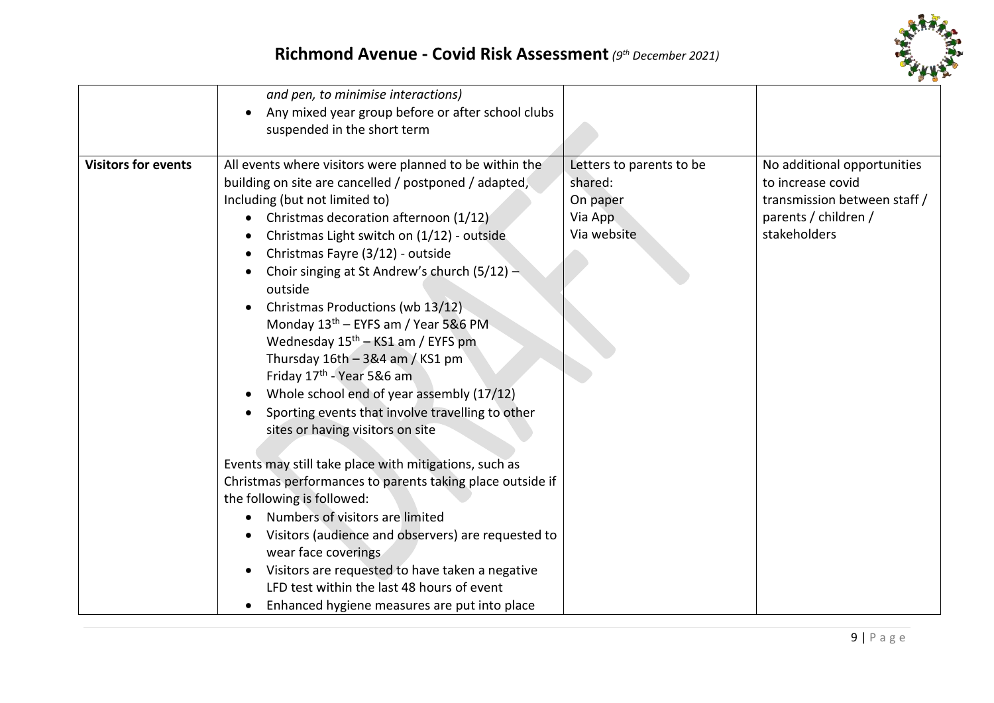

|                            | and pen, to minimise interactions)<br>Any mixed year group before or after school clubs                                                                                                                                                                                                                                                                                                                                                                                                                                                                                                                                                                                                                                                                                                                                                                                                                                                                                                                                                                        |                                                                           |                                                                                                                          |
|----------------------------|----------------------------------------------------------------------------------------------------------------------------------------------------------------------------------------------------------------------------------------------------------------------------------------------------------------------------------------------------------------------------------------------------------------------------------------------------------------------------------------------------------------------------------------------------------------------------------------------------------------------------------------------------------------------------------------------------------------------------------------------------------------------------------------------------------------------------------------------------------------------------------------------------------------------------------------------------------------------------------------------------------------------------------------------------------------|---------------------------------------------------------------------------|--------------------------------------------------------------------------------------------------------------------------|
|                            | suspended in the short term                                                                                                                                                                                                                                                                                                                                                                                                                                                                                                                                                                                                                                                                                                                                                                                                                                                                                                                                                                                                                                    |                                                                           |                                                                                                                          |
| <b>Visitors for events</b> | All events where visitors were planned to be within the<br>building on site are cancelled / postponed / adapted,<br>Including (but not limited to)<br>Christmas decoration afternoon (1/12)<br>Christmas Light switch on (1/12) - outside<br>Christmas Fayre (3/12) - outside<br>Choir singing at St Andrew's church (5/12) -<br>outside<br>Christmas Productions (wb 13/12)<br>Monday 13 <sup>th</sup> – EYFS am / Year 5&6 PM<br>Wednesday $15th - KS1$ am / EYFS pm<br>Thursday $16th - 3&4$ am / KS1 pm<br>Friday 17 <sup>th</sup> - Year 5&6 am<br>Whole school end of year assembly (17/12)<br>Sporting events that involve travelling to other<br>sites or having visitors on site<br>Events may still take place with mitigations, such as<br>Christmas performances to parents taking place outside if<br>the following is followed:<br>Numbers of visitors are limited<br>Visitors (audience and observers) are requested to<br>wear face coverings<br>Visitors are requested to have taken a negative<br>LFD test within the last 48 hours of event | Letters to parents to be<br>shared:<br>On paper<br>Via App<br>Via website | No additional opportunities<br>to increase covid<br>transmission between staff /<br>parents / children /<br>stakeholders |
|                            | Enhanced hygiene measures are put into place                                                                                                                                                                                                                                                                                                                                                                                                                                                                                                                                                                                                                                                                                                                                                                                                                                                                                                                                                                                                                   |                                                                           |                                                                                                                          |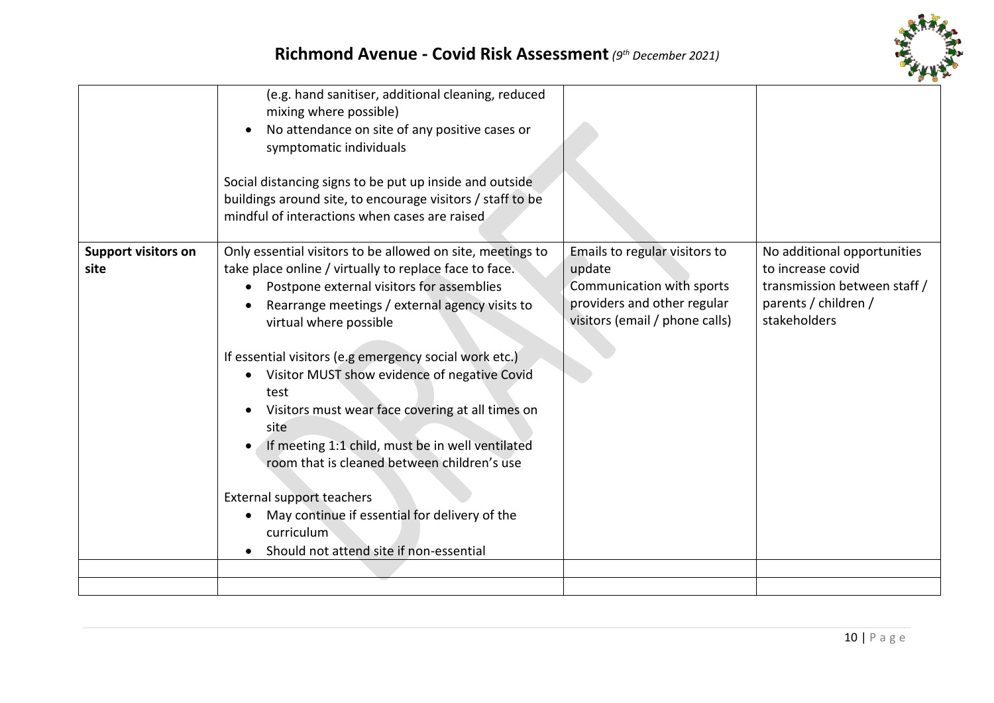

|                                    | (e.g. hand sanitiser, additional cleaning, reduced<br>mixing where possible)<br>No attendance on site of any positive cases or<br>symptomatic individuals<br>Social distancing signs to be put up inside and outside<br>buildings around site, to encourage visitors / staff to be<br>mindful of interactions when cases are raised                                                                                                                                                                                                                                                                                                                                          |                                                                                                                                       |                                                                                                                          |
|------------------------------------|------------------------------------------------------------------------------------------------------------------------------------------------------------------------------------------------------------------------------------------------------------------------------------------------------------------------------------------------------------------------------------------------------------------------------------------------------------------------------------------------------------------------------------------------------------------------------------------------------------------------------------------------------------------------------|---------------------------------------------------------------------------------------------------------------------------------------|--------------------------------------------------------------------------------------------------------------------------|
| <b>Support visitors on</b><br>site | Only essential visitors to be allowed on site, meetings to<br>take place online / virtually to replace face to face.<br>Postpone external visitors for assemblies<br>Rearrange meetings / external agency visits to<br>virtual where possible<br>If essential visitors (e.g emergency social work etc.)<br>Visitor MUST show evidence of negative Covid<br>test<br>Visitors must wear face covering at all times on<br>site<br>If meeting 1:1 child, must be in well ventilated<br>room that is cleaned between children's use<br><b>External support teachers</b><br>May continue if essential for delivery of the<br>curriculum<br>Should not attend site if non-essential | Emails to regular visitors to<br>update<br>Communication with sports<br>providers and other regular<br>visitors (email / phone calls) | No additional opportunities<br>to increase covid<br>transmission between staff /<br>parents / children /<br>stakeholders |
|                                    |                                                                                                                                                                                                                                                                                                                                                                                                                                                                                                                                                                                                                                                                              |                                                                                                                                       |                                                                                                                          |
|                                    |                                                                                                                                                                                                                                                                                                                                                                                                                                                                                                                                                                                                                                                                              |                                                                                                                                       |                                                                                                                          |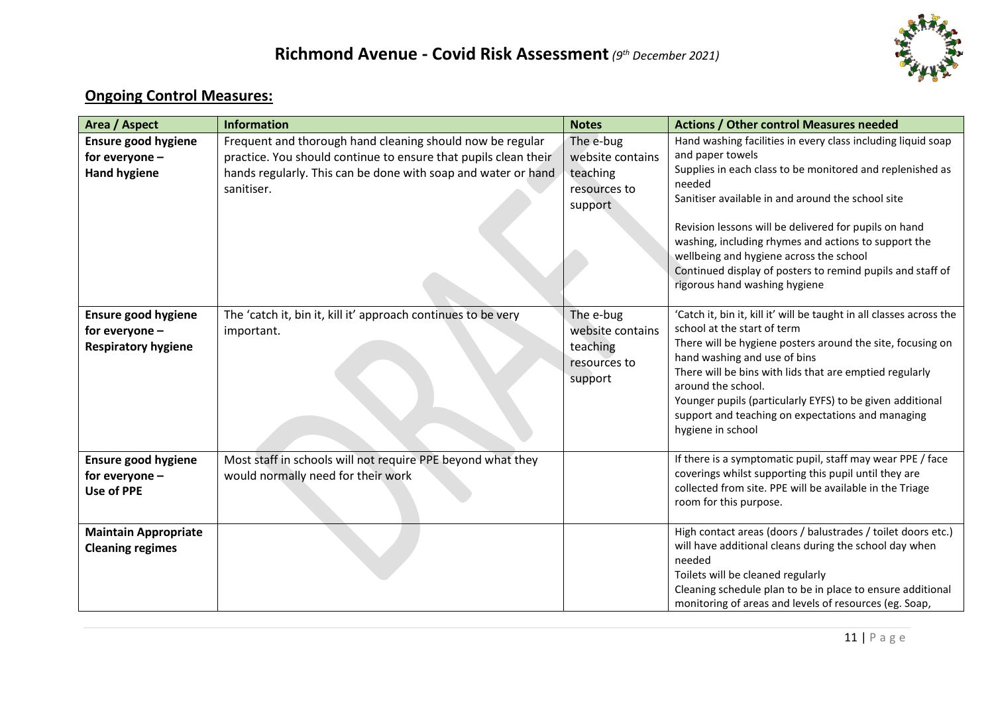

## **Ongoing Control Measures:**

| Area / Aspect                                                       | <b>Information</b>                                                                                                                                                                                          | <b>Notes</b>                                                         | <b>Actions / Other control Measures needed</b>                                                                                                                                                                                                                                                                                                                                                                                                                          |
|---------------------------------------------------------------------|-------------------------------------------------------------------------------------------------------------------------------------------------------------------------------------------------------------|----------------------------------------------------------------------|-------------------------------------------------------------------------------------------------------------------------------------------------------------------------------------------------------------------------------------------------------------------------------------------------------------------------------------------------------------------------------------------------------------------------------------------------------------------------|
| <b>Ensure good hygiene</b><br>for everyone -<br><b>Hand hygiene</b> | Frequent and thorough hand cleaning should now be regular<br>practice. You should continue to ensure that pupils clean their<br>hands regularly. This can be done with soap and water or hand<br>sanitiser. | The e-bug<br>website contains<br>teaching<br>resources to<br>support | Hand washing facilities in every class including liquid soap<br>and paper towels<br>Supplies in each class to be monitored and replenished as<br>needed<br>Sanitiser available in and around the school site<br>Revision lessons will be delivered for pupils on hand<br>washing, including rhymes and actions to support the<br>wellbeing and hygiene across the school<br>Continued display of posters to remind pupils and staff of<br>rigorous hand washing hygiene |
| Ensure good hygiene<br>for everyone -<br><b>Respiratory hygiene</b> | The 'catch it, bin it, kill it' approach continues to be very<br>important.                                                                                                                                 | The e-bug<br>website contains<br>teaching<br>resources to<br>support | 'Catch it, bin it, kill it' will be taught in all classes across the<br>school at the start of term<br>There will be hygiene posters around the site, focusing on<br>hand washing and use of bins<br>There will be bins with lids that are emptied regularly<br>around the school.<br>Younger pupils (particularly EYFS) to be given additional<br>support and teaching on expectations and managing<br>hygiene in school                                               |
| <b>Ensure good hygiene</b><br>for everyone -<br><b>Use of PPE</b>   | Most staff in schools will not require PPE beyond what they<br>would normally need for their work                                                                                                           |                                                                      | If there is a symptomatic pupil, staff may wear PPE / face<br>coverings whilst supporting this pupil until they are<br>collected from site. PPE will be available in the Triage<br>room for this purpose.                                                                                                                                                                                                                                                               |
| <b>Maintain Appropriate</b><br><b>Cleaning regimes</b>              |                                                                                                                                                                                                             |                                                                      | High contact areas (doors / balustrades / toilet doors etc.)<br>will have additional cleans during the school day when<br>needed<br>Toilets will be cleaned regularly<br>Cleaning schedule plan to be in place to ensure additional<br>monitoring of areas and levels of resources (eg. Soap,                                                                                                                                                                           |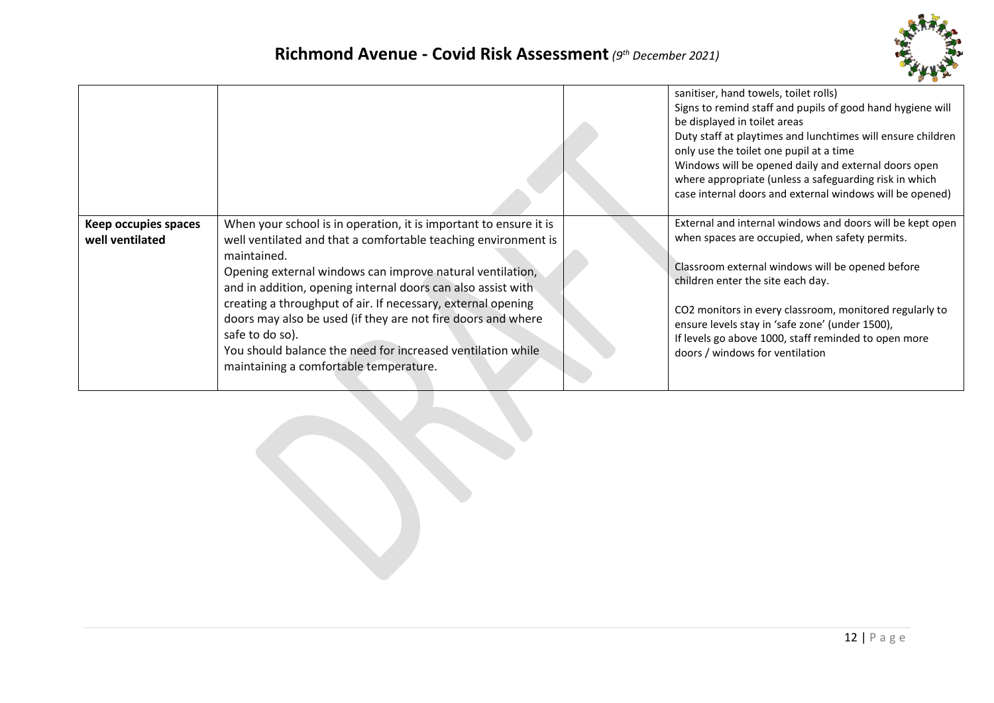

|                                         |                                                                                                                                                                                                                                                                                                                                                                                                                                                                                                                                             | sanitiser, hand towels, toilet rolls)<br>Signs to remind staff and pupils of good hand hygiene will<br>be displayed in toilet areas<br>Duty staff at playtimes and lunchtimes will ensure children<br>only use the toilet one pupil at a time<br>Windows will be opened daily and external doors open<br>where appropriate (unless a safeguarding risk in which<br>case internal doors and external windows will be opened) |
|-----------------------------------------|---------------------------------------------------------------------------------------------------------------------------------------------------------------------------------------------------------------------------------------------------------------------------------------------------------------------------------------------------------------------------------------------------------------------------------------------------------------------------------------------------------------------------------------------|-----------------------------------------------------------------------------------------------------------------------------------------------------------------------------------------------------------------------------------------------------------------------------------------------------------------------------------------------------------------------------------------------------------------------------|
| Keep occupies spaces<br>well ventilated | When your school is in operation, it is important to ensure it is<br>well ventilated and that a comfortable teaching environment is<br>maintained.<br>Opening external windows can improve natural ventilation,<br>and in addition, opening internal doors can also assist with<br>creating a throughput of air. If necessary, external opening<br>doors may also be used (if they are not fire doors and where<br>safe to do so).<br>You should balance the need for increased ventilation while<br>maintaining a comfortable temperature. | External and internal windows and doors will be kept open<br>when spaces are occupied, when safety permits.<br>Classroom external windows will be opened before<br>children enter the site each day.<br>CO2 monitors in every classroom, monitored regularly to<br>ensure levels stay in 'safe zone' (under 1500),<br>If levels go above 1000, staff reminded to open more<br>doors / windows for ventilation               |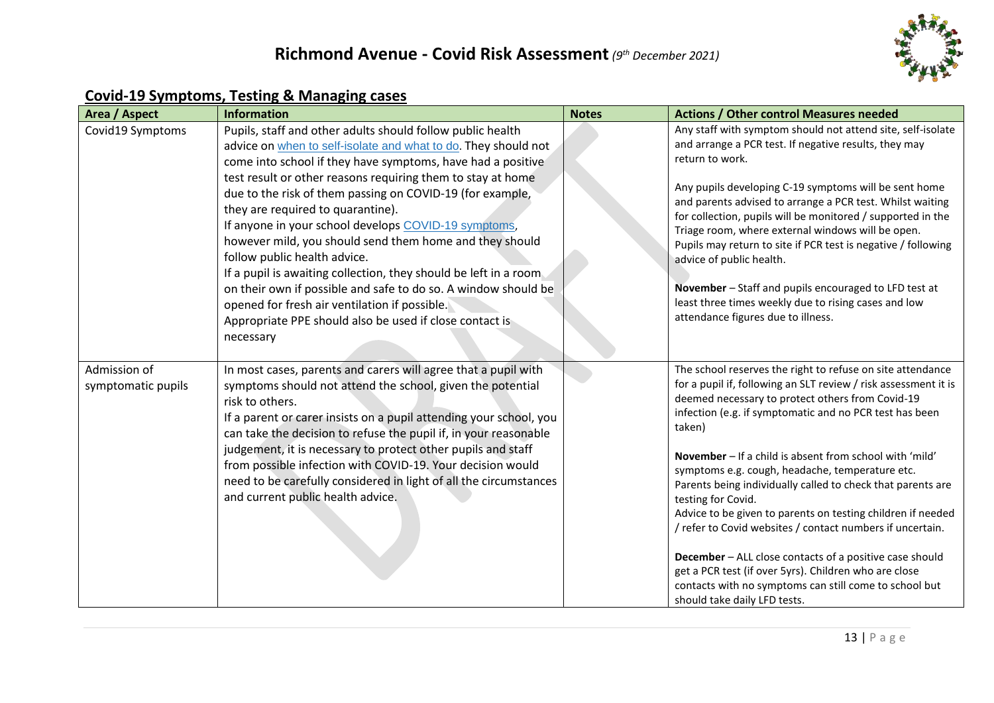

#### **Covid-19 Symptoms, Testing & Managing cases**

| Area / Aspect                      | <b>Information</b>                                                                                                                                                                                                                                                                                                                                                                                                                                                                                                                                                                                                                                                                                                                                                              | <b>Notes</b> | <b>Actions / Other control Measures needed</b>                                                                                                                                                                                                                                                                                                                                                                                                                                                                                                                                                                                                                                                                                                                                                      |
|------------------------------------|---------------------------------------------------------------------------------------------------------------------------------------------------------------------------------------------------------------------------------------------------------------------------------------------------------------------------------------------------------------------------------------------------------------------------------------------------------------------------------------------------------------------------------------------------------------------------------------------------------------------------------------------------------------------------------------------------------------------------------------------------------------------------------|--------------|-----------------------------------------------------------------------------------------------------------------------------------------------------------------------------------------------------------------------------------------------------------------------------------------------------------------------------------------------------------------------------------------------------------------------------------------------------------------------------------------------------------------------------------------------------------------------------------------------------------------------------------------------------------------------------------------------------------------------------------------------------------------------------------------------------|
| Covid19 Symptoms                   | Pupils, staff and other adults should follow public health<br>advice on when to self-isolate and what to do. They should not<br>come into school if they have symptoms, have had a positive<br>test result or other reasons requiring them to stay at home<br>due to the risk of them passing on COVID-19 (for example,<br>they are required to quarantine).<br>If anyone in your school develops COVID-19 symptoms,<br>however mild, you should send them home and they should<br>follow public health advice.<br>If a pupil is awaiting collection, they should be left in a room.<br>on their own if possible and safe to do so. A window should be<br>opened for fresh air ventilation if possible.<br>Appropriate PPE should also be used if close contact is<br>necessary |              | Any staff with symptom should not attend site, self-isolate<br>and arrange a PCR test. If negative results, they may<br>return to work.<br>Any pupils developing C-19 symptoms will be sent home<br>and parents advised to arrange a PCR test. Whilst waiting<br>for collection, pupils will be monitored / supported in the<br>Triage room, where external windows will be open.<br>Pupils may return to site if PCR test is negative / following<br>advice of public health.<br>November - Staff and pupils encouraged to LFD test at<br>least three times weekly due to rising cases and low<br>attendance figures due to illness.                                                                                                                                                               |
| Admission of<br>symptomatic pupils | In most cases, parents and carers will agree that a pupil with<br>symptoms should not attend the school, given the potential<br>risk to others.<br>If a parent or carer insists on a pupil attending your school, you<br>can take the decision to refuse the pupil if, in your reasonable<br>judgement, it is necessary to protect other pupils and staff<br>from possible infection with COVID-19. Your decision would<br>need to be carefully considered in light of all the circumstances<br>and current public health advice.                                                                                                                                                                                                                                               |              | The school reserves the right to refuse on site attendance<br>for a pupil if, following an SLT review / risk assessment it is<br>deemed necessary to protect others from Covid-19<br>infection (e.g. if symptomatic and no PCR test has been<br>taken)<br>November - If a child is absent from school with 'mild'<br>symptoms e.g. cough, headache, temperature etc.<br>Parents being individually called to check that parents are<br>testing for Covid.<br>Advice to be given to parents on testing children if needed<br>/ refer to Covid websites / contact numbers if uncertain.<br>December - ALL close contacts of a positive case should<br>get a PCR test (if over 5yrs). Children who are close<br>contacts with no symptoms can still come to school but<br>should take daily LFD tests. |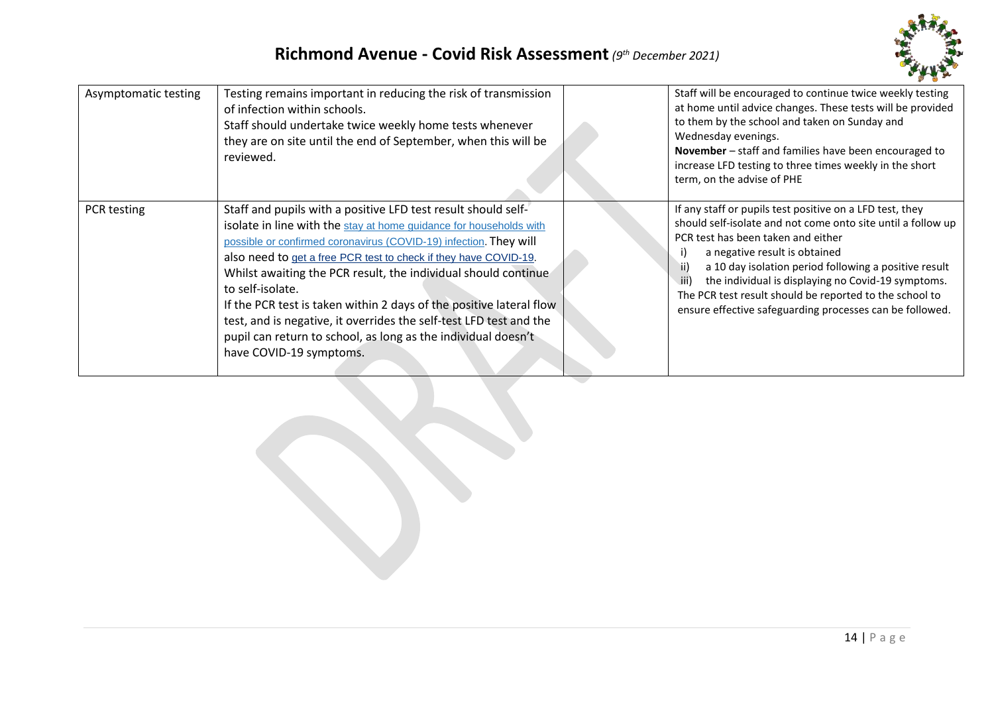

| Asymptomatic testing | Testing remains important in reducing the risk of transmission<br>of infection within schools.<br>Staff should undertake twice weekly home tests whenever<br>they are on site until the end of September, when this will be<br>reviewed.                                                                                                                                                                                                                                                                                                                                                                    | Staff will be encouraged to continue twice weekly testing<br>at home until advice changes. These tests will be provided<br>to them by the school and taken on Sunday and<br>Wednesday evenings.<br><b>November</b> – staff and families have been encouraged to<br>increase LFD testing to three times weekly in the short<br>term, on the advise of PHE                                                                                             |
|----------------------|-------------------------------------------------------------------------------------------------------------------------------------------------------------------------------------------------------------------------------------------------------------------------------------------------------------------------------------------------------------------------------------------------------------------------------------------------------------------------------------------------------------------------------------------------------------------------------------------------------------|------------------------------------------------------------------------------------------------------------------------------------------------------------------------------------------------------------------------------------------------------------------------------------------------------------------------------------------------------------------------------------------------------------------------------------------------------|
| PCR testing          | Staff and pupils with a positive LFD test result should self-<br>isolate in line with the stay at home guidance for households with<br>possible or confirmed coronavirus (COVID-19) infection. They will<br>also need to get a free PCR test to check if they have COVID-19.<br>Whilst awaiting the PCR result, the individual should continue<br>to self-isolate.<br>If the PCR test is taken within 2 days of the positive lateral flow<br>test, and is negative, it overrides the self-test LFD test and the<br>pupil can return to school, as long as the individual doesn't<br>have COVID-19 symptoms. | If any staff or pupils test positive on a LFD test, they<br>should self-isolate and not come onto site until a follow up<br>PCR test has been taken and either<br>a negative result is obtained<br>ii)<br>a 10 day isolation period following a positive result<br>the individual is displaying no Covid-19 symptoms.<br>iii)<br>The PCR test result should be reported to the school to<br>ensure effective safeguarding processes can be followed. |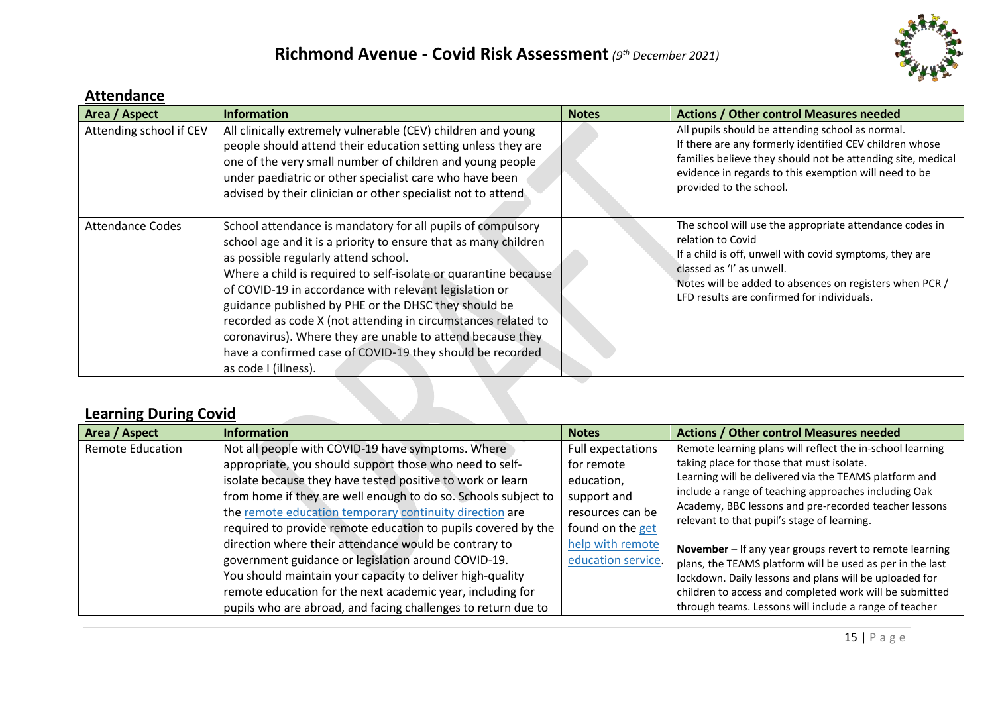

#### **Attendance**

| Area / Aspect           | <b>Information</b>                                                                                                                                                                                                                                                                                                                                                                                                                                                                                                                                                              | <b>Notes</b> | <b>Actions / Other control Measures needed</b>                                                                                                                                                                                                                                |
|-------------------------|---------------------------------------------------------------------------------------------------------------------------------------------------------------------------------------------------------------------------------------------------------------------------------------------------------------------------------------------------------------------------------------------------------------------------------------------------------------------------------------------------------------------------------------------------------------------------------|--------------|-------------------------------------------------------------------------------------------------------------------------------------------------------------------------------------------------------------------------------------------------------------------------------|
| Attending school if CEV | All clinically extremely vulnerable (CEV) children and young<br>people should attend their education setting unless they are<br>one of the very small number of children and young people<br>under paediatric or other specialist care who have been<br>advised by their clinician or other specialist not to attend                                                                                                                                                                                                                                                            |              | All pupils should be attending school as normal.<br>If there are any formerly identified CEV children whose<br>families believe they should not be attending site, medical<br>evidence in regards to this exemption will need to be<br>provided to the school.                |
| <b>Attendance Codes</b> | School attendance is mandatory for all pupils of compulsory<br>school age and it is a priority to ensure that as many children<br>as possible regularly attend school.<br>Where a child is required to self-isolate or quarantine because<br>of COVID-19 in accordance with relevant legislation or<br>guidance published by PHE or the DHSC they should be<br>recorded as code X (not attending in circumstances related to<br>coronavirus). Where they are unable to attend because they<br>have a confirmed case of COVID-19 they should be recorded<br>as code I (illness). |              | The school will use the appropriate attendance codes in<br>relation to Covid<br>If a child is off, unwell with covid symptoms, they are<br>classed as 'I' as unwell.<br>Notes will be added to absences on registers when PCR /<br>LFD results are confirmed for individuals. |

## **Learning During Covid**

| Area / Aspect           | <b>Information</b>                                             | <b>Notes</b>       | <b>Actions / Other control Measures needed</b>                                                       |
|-------------------------|----------------------------------------------------------------|--------------------|------------------------------------------------------------------------------------------------------|
| <b>Remote Education</b> | Not all people with COVID-19 have symptoms. Where              | Full expectations  | Remote learning plans will reflect the in-school learning                                            |
|                         | appropriate, you should support those who need to self-        | for remote         | taking place for those that must isolate.                                                            |
|                         | isolate because they have tested positive to work or learn     | education,         | Learning will be delivered via the TEAMS platform and                                                |
|                         | from home if they are well enough to do so. Schools subject to | support and        | include a range of teaching approaches including Oak                                                 |
|                         | the remote education temporary continuity direction are        | resources can be   | Academy, BBC lessons and pre-recorded teacher lessons<br>relevant to that pupil's stage of learning. |
|                         | required to provide remote education to pupils covered by the  | found on the get   |                                                                                                      |
|                         | direction where their attendance would be contrary to          | help with remote   | November - If any year groups revert to remote learning                                              |
|                         | government guidance or legislation around COVID-19.            | education service. | plans, the TEAMS platform will be used as per in the last                                            |
|                         | You should maintain your capacity to deliver high-quality      |                    | lockdown. Daily lessons and plans will be uploaded for                                               |
|                         | remote education for the next academic year, including for     |                    | children to access and completed work will be submitted                                              |
|                         | pupils who are abroad, and facing challenges to return due to  |                    | through teams. Lessons will include a range of teacher                                               |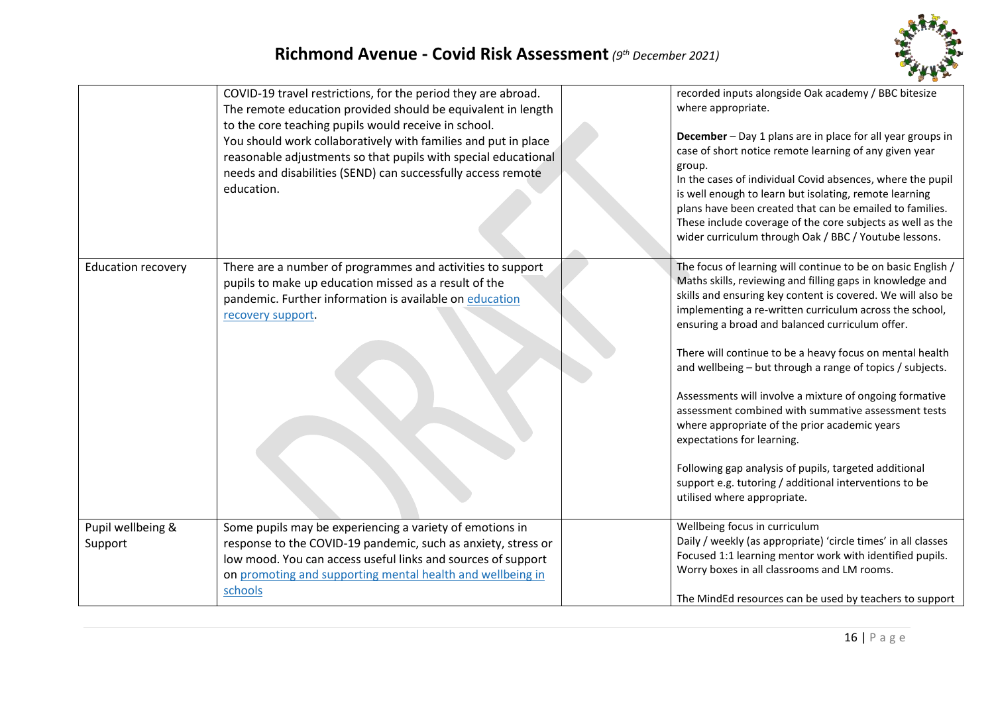

|                              | COVID-19 travel restrictions, for the period they are abroad.<br>The remote education provided should be equivalent in length<br>to the core teaching pupils would receive in school.<br>You should work collaboratively with families and put in place<br>reasonable adjustments so that pupils with special educational<br>needs and disabilities (SEND) can successfully access remote<br>education. | recorded inputs alongside Oak academy / BBC bitesize<br>where appropriate.<br>December - Day 1 plans are in place for all year groups in<br>case of short notice remote learning of any given year<br>group.<br>In the cases of individual Covid absences, where the pupil<br>is well enough to learn but isolating, remote learning<br>plans have been created that can be emailed to families.<br>These include coverage of the core subjects as well as the<br>wider curriculum through Oak / BBC / Youtube lessons.                                                                                                                                                                                                                                                            |
|------------------------------|---------------------------------------------------------------------------------------------------------------------------------------------------------------------------------------------------------------------------------------------------------------------------------------------------------------------------------------------------------------------------------------------------------|------------------------------------------------------------------------------------------------------------------------------------------------------------------------------------------------------------------------------------------------------------------------------------------------------------------------------------------------------------------------------------------------------------------------------------------------------------------------------------------------------------------------------------------------------------------------------------------------------------------------------------------------------------------------------------------------------------------------------------------------------------------------------------|
| <b>Education recovery</b>    | There are a number of programmes and activities to support<br>pupils to make up education missed as a result of the<br>pandemic. Further information is available on education<br>recovery support.                                                                                                                                                                                                     | The focus of learning will continue to be on basic English /<br>Maths skills, reviewing and filling gaps in knowledge and<br>skills and ensuring key content is covered. We will also be<br>implementing a re-written curriculum across the school,<br>ensuring a broad and balanced curriculum offer.<br>There will continue to be a heavy focus on mental health<br>and wellbeing - but through a range of topics / subjects.<br>Assessments will involve a mixture of ongoing formative<br>assessment combined with summative assessment tests<br>where appropriate of the prior academic years<br>expectations for learning.<br>Following gap analysis of pupils, targeted additional<br>support e.g. tutoring / additional interventions to be<br>utilised where appropriate. |
| Pupil wellbeing &<br>Support | Some pupils may be experiencing a variety of emotions in<br>response to the COVID-19 pandemic, such as anxiety, stress or<br>low mood. You can access useful links and sources of support<br>on promoting and supporting mental health and wellbeing in<br>schools                                                                                                                                      | Wellbeing focus in curriculum<br>Daily / weekly (as appropriate) 'circle times' in all classes<br>Focused 1:1 learning mentor work with identified pupils.<br>Worry boxes in all classrooms and LM rooms.<br>The MindEd resources can be used by teachers to support                                                                                                                                                                                                                                                                                                                                                                                                                                                                                                               |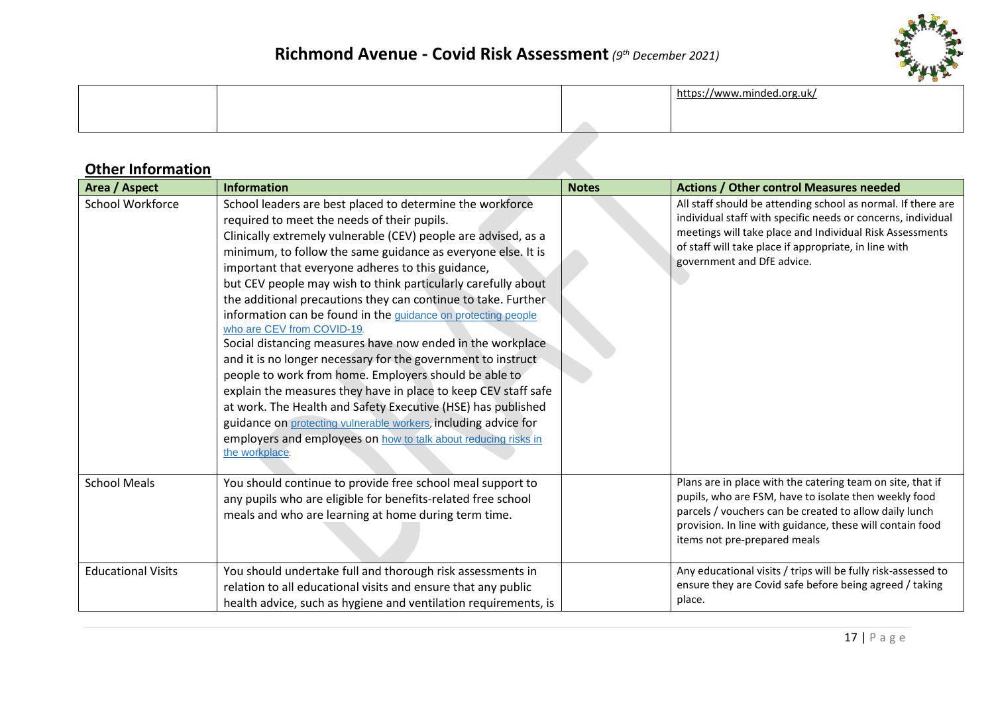

# <https://www.minded.org.uk/>

## **Other Information**

| Area / Aspect             | <b>Information</b>                                                                                                                                                                                                                                                                                                                                                                                                                                                                                                                                                                                                                                                                                                                                                                                                                                                                                                                                                                                               | <b>Notes</b> | <b>Actions / Other control Measures needed</b>                                                                                                                                                                                                                                  |
|---------------------------|------------------------------------------------------------------------------------------------------------------------------------------------------------------------------------------------------------------------------------------------------------------------------------------------------------------------------------------------------------------------------------------------------------------------------------------------------------------------------------------------------------------------------------------------------------------------------------------------------------------------------------------------------------------------------------------------------------------------------------------------------------------------------------------------------------------------------------------------------------------------------------------------------------------------------------------------------------------------------------------------------------------|--------------|---------------------------------------------------------------------------------------------------------------------------------------------------------------------------------------------------------------------------------------------------------------------------------|
| School Workforce          | School leaders are best placed to determine the workforce<br>required to meet the needs of their pupils.<br>Clinically extremely vulnerable (CEV) people are advised, as a<br>minimum, to follow the same guidance as everyone else. It is<br>important that everyone adheres to this guidance,<br>but CEV people may wish to think particularly carefully about<br>the additional precautions they can continue to take. Further<br>information can be found in the guidance on protecting people<br>who are CEV from COVID-19.<br>Social distancing measures have now ended in the workplace<br>and it is no longer necessary for the government to instruct<br>people to work from home. Employers should be able to<br>explain the measures they have in place to keep CEV staff safe<br>at work. The Health and Safety Executive (HSE) has published<br>guidance on protecting vulnerable workers, including advice for<br>employers and employees on how to talk about reducing risks in<br>the workplace. |              | All staff should be attending school as normal. If there are<br>individual staff with specific needs or concerns, individual<br>meetings will take place and Individual Risk Assessments<br>of staff will take place if appropriate, in line with<br>government and DfE advice. |
| <b>School Meals</b>       | You should continue to provide free school meal support to<br>any pupils who are eligible for benefits-related free school<br>meals and who are learning at home during term time.                                                                                                                                                                                                                                                                                                                                                                                                                                                                                                                                                                                                                                                                                                                                                                                                                               |              | Plans are in place with the catering team on site, that if<br>pupils, who are FSM, have to isolate then weekly food<br>parcels / vouchers can be created to allow daily lunch<br>provision. In line with guidance, these will contain food<br>items not pre-prepared meals      |
| <b>Educational Visits</b> | You should undertake full and thorough risk assessments in<br>relation to all educational visits and ensure that any public<br>health advice, such as hygiene and ventilation requirements, is                                                                                                                                                                                                                                                                                                                                                                                                                                                                                                                                                                                                                                                                                                                                                                                                                   |              | Any educational visits / trips will be fully risk-assessed to<br>ensure they are Covid safe before being agreed / taking<br>place.                                                                                                                                              |